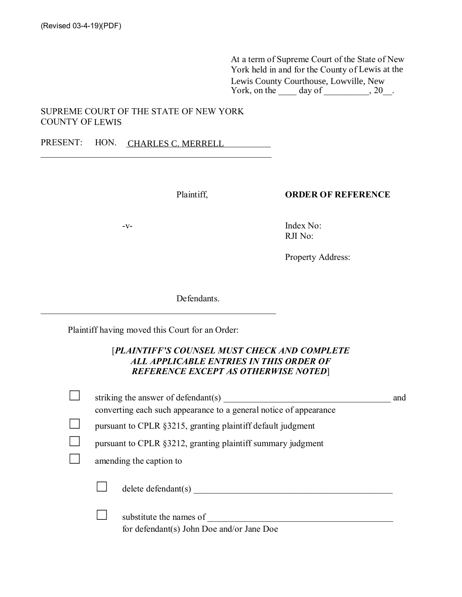At a term of Supreme Court of the State of New York held in and for the County of Lewis at the Lewis County Courthouse, Lowville, New York, on the  $\_\_\_\_\$  day of  $\_\_\_\_\_\$ , 20 $\_\_\_\_\$ .

## SUPREME COURT OF THE STATE OF NEW YORK **COUNTY OF LEWIS**

PRESENT: HON. CHARLES C. MERRELL

Plaintiff.

## **ORDER OF REFERENCE**

 $-V$ -

Index No: RJI No:

Property Address:

Defendants.

Plaintiff having moved this Court for an Order:

## [PLAINTIFF'S COUNSEL MUST CHECK AND COMPLETE ALL APPLICABLE ENTRIES IN THIS ORDER OF **REFERENCE EXCEPT AS OTHERWISE NOTED]**

|  | striking the answer of defendant(s)                                  | and |
|--|----------------------------------------------------------------------|-----|
|  | converting each such appearance to a general notice of appearance    |     |
|  | pursuant to CPLR §3215, granting plaintiff default judgment          |     |
|  | pursuant to CPLR §3212, granting plaintiff summary judgment          |     |
|  | amending the caption to                                              |     |
|  | $delete$ defendant $(s)$                                             |     |
|  | substitute the names of<br>for defendant(s) John Doe and/or Jane Doe |     |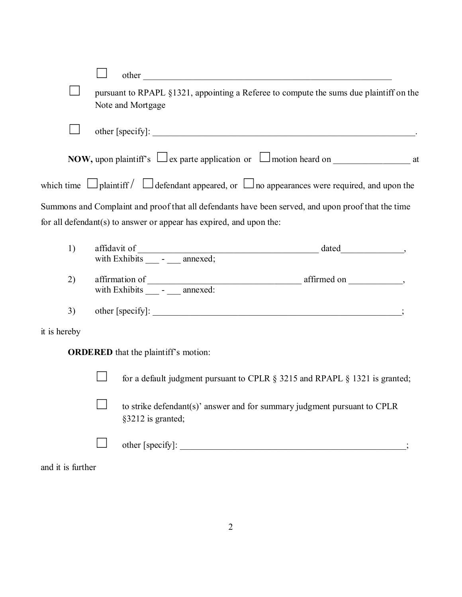| pursuant to RPAPL §1321, appointing a Referee to compute the sums due plaintiff on the<br>Note and Mortgage |                                                                                                              |  |  |  |  |  |  |
|-------------------------------------------------------------------------------------------------------------|--------------------------------------------------------------------------------------------------------------|--|--|--|--|--|--|
|                                                                                                             |                                                                                                              |  |  |  |  |  |  |
|                                                                                                             | <b>NOW,</b> upon plaintiff's $\Box$ ex parte application or $\Box$ motion heard on $\Box$ at                 |  |  |  |  |  |  |
|                                                                                                             | which time $\Box$ plaint iff $\Box$ defendant appeared, or $\Box$ no appearances were required, and upon the |  |  |  |  |  |  |
|                                                                                                             | Summons and Complaint and proof that all defendants have been served, and upon proof that the time           |  |  |  |  |  |  |
|                                                                                                             | for all defendant(s) to answer or appear has expired, and upon the:                                          |  |  |  |  |  |  |
| 1)                                                                                                          |                                                                                                              |  |  |  |  |  |  |
| 2)                                                                                                          |                                                                                                              |  |  |  |  |  |  |
| 3)                                                                                                          |                                                                                                              |  |  |  |  |  |  |
| it is hereby                                                                                                |                                                                                                              |  |  |  |  |  |  |
| <b>ORDERED</b> that the plaintiff's motion:                                                                 |                                                                                                              |  |  |  |  |  |  |
|                                                                                                             | for a default judgment pursuant to CPLR § 3215 and RPAPL § 1321 is granted;                                  |  |  |  |  |  |  |
|                                                                                                             |                                                                                                              |  |  |  |  |  |  |
|                                                                                                             | to strike defendant(s)' answer and for summary judgment pursuant to CPLR<br>§3212 is granted;                |  |  |  |  |  |  |
|                                                                                                             |                                                                                                              |  |  |  |  |  |  |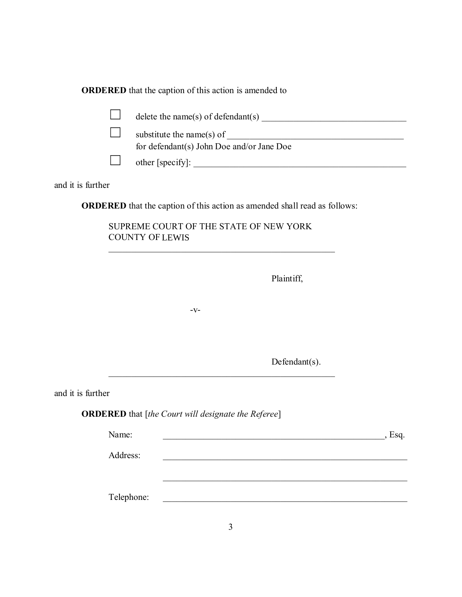**ORDERED** that the caption of this action is amended to

|                   |            | substitute the name(s) of $\overline{\phantom{a}}$                                                                                 |      |
|-------------------|------------|------------------------------------------------------------------------------------------------------------------------------------|------|
|                   |            | for defendant(s) John Doe and/or Jane Doe                                                                                          |      |
|                   |            |                                                                                                                                    |      |
| and it is further |            |                                                                                                                                    |      |
|                   |            | <b>ORDERED</b> that the caption of this action as amended shall read as follows:                                                   |      |
|                   |            | SUPREME COURT OF THE STATE OF NEW YORK<br><b>COUNTY OF LEWIS</b><br><u> 1989 - Johann Barbara, margaret eta idazlea (h. 1989).</u> |      |
|                   |            | Plaintiff,                                                                                                                         |      |
|                   |            | $-V$ -                                                                                                                             |      |
|                   |            | Defendant $(s)$ .                                                                                                                  |      |
| and it is further |            |                                                                                                                                    |      |
|                   |            | <b>ORDERED</b> that [the Court will designate the Referee]                                                                         |      |
|                   | Name:      |                                                                                                                                    | Esq. |
|                   | Address:   |                                                                                                                                    |      |
|                   | Telephone: |                                                                                                                                    |      |
|                   |            | 3                                                                                                                                  |      |
|                   |            |                                                                                                                                    |      |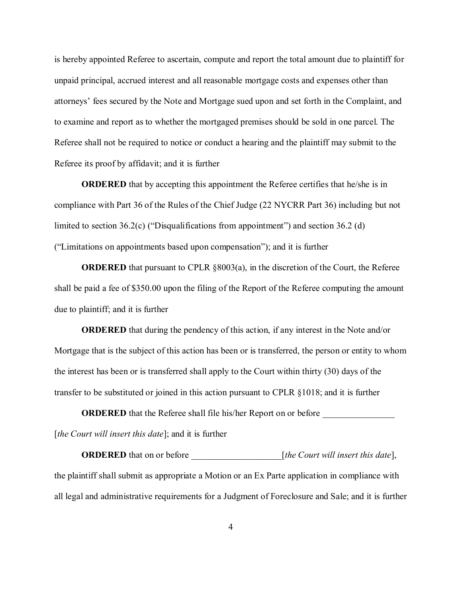is hereby appointed Referee to ascertain, compute and report the total amount due to plaintiff for unpaid principal, accrued interest and all reasonable mortgage costs and expenses other than attorneys' fees secured by the Note and Mortgage sued upon and set forth in the Complaint, and to examine and report as to whether the mortgaged premises should be sold in one parcel. The Referee shall not be required to notice or conduct a hearing and the plaintiff may submit to the Referee its proof by affidavit; and it is further

**ORDERED** that by accepting this appointment the Referee certifies that he/she is in compliance with Part 36 of the Rules of the Chief Judge (22 NYCRR Part 36) including but not limited to section  $36.2(c)$  ("Disqualifications from appointment") and section  $36.2(d)$ ("Limitations on appointments based upon compensation"); and it is further

**ORDERED** that pursuant to CPLR  $\S 8003(a)$ , in the discretion of the Court, the Referee shall be paid a fee of \$350.00 upon the filing of the Report of the Referee computing the amount due to plaint iff; and it is further

**ORDERED** that during the pendency of this action, if any interest in the Note and/or Mortgage that is the subject of this action has been or is transferred, the person or entity to whom the interest has been or is transferred shall apply to the Court within thirty (30) days of the transfer to be substituted or joined in this action pursuant to CPLR §1018; and it is further

**ORDERED** that the Referee shall file his/her Report on or before [the Court will insert this date]; and it is further

the plaintiff shall submit as appropriate a Motion or an Ex Parte application in compliance with all legal and administrative requirements for a Judgment of Foreclosure and Sale; and it is further